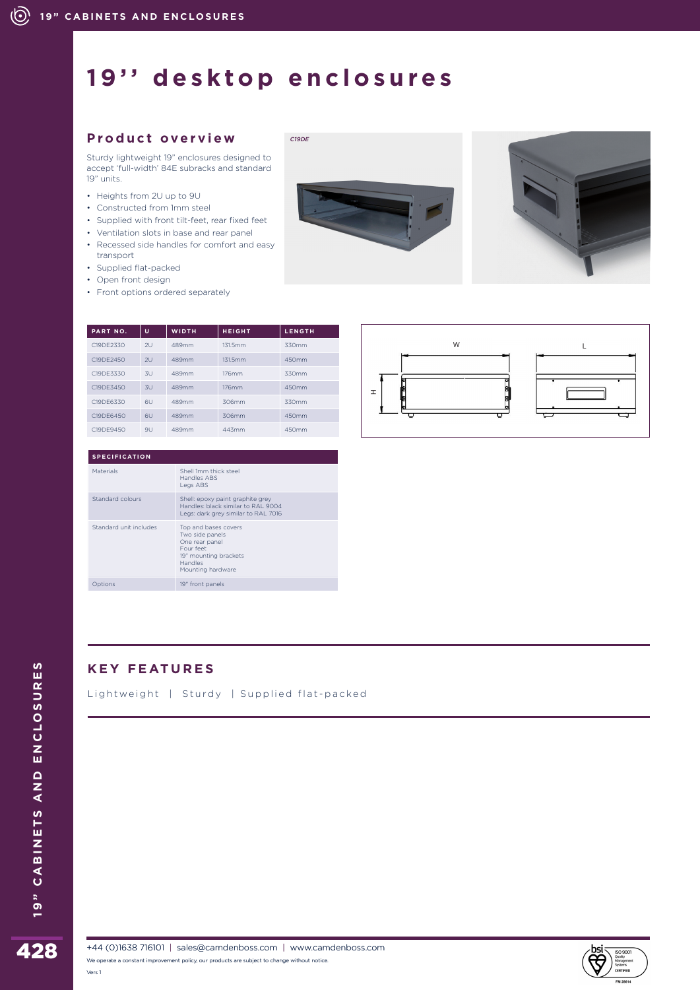# **19'' desktop enclosures**

*C19DE*

### **Product overview**

Sturdy lightweight 19" enclosures designed to accept 'full-width' 84E subracks and standard 19" units.

- Heights from 2U up to 9U
- Constructed from 1mm steel
- Supplied with front tilt-feet, rear fixed feet
- Ventilation slots in base and rear panel
- Recessed side handles for comfort and easy transport
- Supplied flat-packed
- Open front design
- Front options ordered separately

| PART NO.  | u   | <b>WIDTH</b> | <b>HEIGHT</b> | <b>LENGTH</b> |
|-----------|-----|--------------|---------------|---------------|
| C19DE2330 | 2U  | 489mm        | 131.5mm       | 330mm         |
| C19DF2450 | 2U  | 489mm        | 131.5mm       | 450mm         |
| C19DE3330 | 3U  | 489mm        | 176mm         | 330mm         |
| C19DE3450 | 3U  | 489mm        | 176mm         | 450mm         |
| C19DE6330 | 611 | 489mm        | 306mm         | 330mm         |
| C19DE6450 | 6U  | 489mm        | 306mm         | 450mm         |
| C19DE9450 | 911 | 489mm        | 443mm         | 450mm         |

| <b>SPECIFICATION</b>   |                                                                                                                                 |  |  |  |
|------------------------|---------------------------------------------------------------------------------------------------------------------------------|--|--|--|
| <b>Materials</b>       | Shell 1mm thick steel<br>Handles ABS<br>Legs ABS                                                                                |  |  |  |
| Standard colours       | Shell: epoxy paint graphite grey<br>Handles: black similar to RAL 9004<br>Legs: dark grey similar to RAL 7016                   |  |  |  |
| Standard unit includes | Top and bases covers<br>Two side panels<br>One rear panel<br>Four feet<br>19" mounting brackets<br>Handles<br>Mounting hardware |  |  |  |
| Options                | 19" front panels                                                                                                                |  |  |  |

## **KEY FEATURES**

Lightweight | Sturdy | Supplied flat-packed









Vers 1